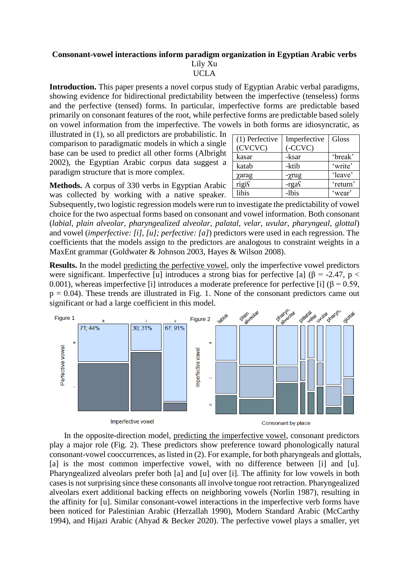## **Consonant-vowel interactions inform paradigm organization in Egyptian Arabic verbs** Lily Xu UCLA

**Introduction.** This paper presents a novel corpus study of Egyptian Arabic verbal paradigms, showing evidence for bidirectional predictability between the imperfective (tenseless) forms and the perfective (tensed) forms. In particular, imperfective forms are predictable based primarily on consonant features of the root, while perfective forms are predictable based solely on vowel information from the imperfective. The vowels in both forms are idiosyncratic, as

illustrated in (1), so all predictors are probabilistic. In comparison to paradigmatic models in which a single base can be used to predict all other forms (Albright 2002), the Egyptian Arabic corpus data suggest a paradigm structure that is more complex.

| (1) Perfective<br>(CVCVC) | Imperfective<br>(CCVC) | Gloss    |
|---------------------------|------------------------|----------|
| kasar                     | -ksar                  | 'break'  |
| katab                     | -ktib                  | 'write'  |
| χarag                     | -γrug                  | 'leave'  |
| rigis                     | $-rgaf$                | 'return' |
| libis                     | -lbis                  | 'wear'   |

**Methods.** A corpus of 330 verbs in Egyptian Arabic was collected by working with a native speaker.

Subsequently, two logistic regression models were run to investigate the predictability of vowel choice for the two aspectual forms based on consonant and vowel information. Both consonant (*labial, plain alveolar, pharyngealized alveolar, palatal, velar, uvular, pharyngeal, glottal*) and vowel (*imperfective: [i], [u]; perfective: [a]*) predictors were used in each regression. The coefficients that the models assign to the predictors are analogous to constraint weights in a MaxEnt grammar (Goldwater & Johnson 2003, Hayes & Wilson 2008).

**Results.** In the model predicting the perfective vowel, only the imperfective vowel predictors were significant. Imperfective [u] introduces a strong bias for perfective [a] ( $\beta$  = -2.47, p < 0.001), whereas imperfective [i] introduces a moderate preference for perfective [i] ( $\beta$  = 0.59,  $p = 0.04$ ). These trends are illustrated in Fig. 1. None of the consonant predictors came out significant or had a large coefficient in this model.



In the opposite-direction model, predicting the imperfective vowel, consonant predictors play a major role (Fig. 2). These predictors show preference toward phonologically natural consonant-vowel cooccurrences, as listed in (2). For example, for both pharyngeals and glottals, [a] is the most common imperfective vowel, with no difference between [i] and [u]. Pharyngealized alveolars prefer both [a] and [u] over [i]. The affinity for low vowels in both cases is not surprising since these consonants all involve tongue root retraction. Pharyngealized alveolars exert additional backing effects on neighboring vowels (Norlin 1987), resulting in the affinity for [u]. Similar consonant-vowel interactions in the imperfective verb forms have been noticed for Palestinian Arabic (Herzallah 1990), Modern Standard Arabic (McCarthy 1994), and Hijazi Arabic (Ahyad & Becker 2020). The perfective vowel plays a smaller, yet